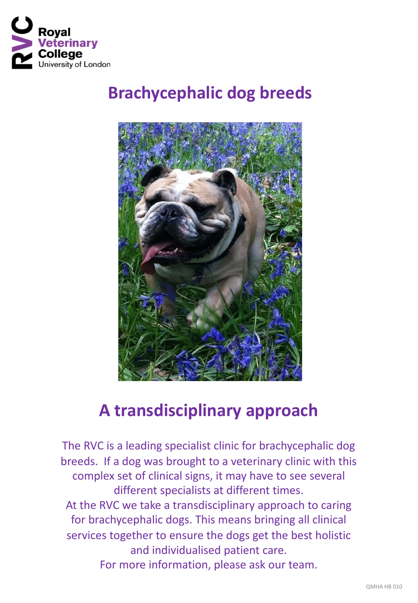

# **Brachycephalic dog breeds**



## **A transdisciplinary approach**

The RVC is a leading specialist clinic for brachycephalic dog breeds. If a dog was brought to a veterinary clinic with this complex set of clinical signs, it may have to see several different specialists at different times. At the RVC we take a transdisciplinary approach to caring for brachycephalic dogs. This means bringing all clinical services together to ensure the dogs get the best holistic and individualised patient care. For more information, please ask our team.